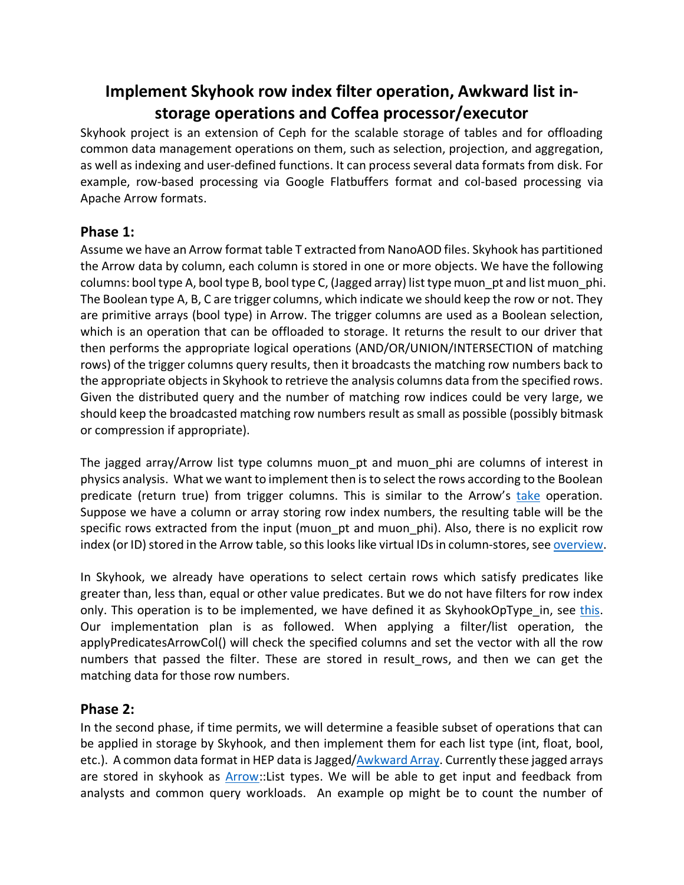# **Implement Skyhook row index filter operation, Awkward list instorage operations and Coffea processor/executor**

Skyhook project is an extension of Ceph for the scalable storage of tables and for offloading common data management operations on them, such as selection, projection, and aggregation, as well as indexing and user-defined functions. It can process several data formats from disk. For example, row-based processing via Google Flatbuffers format and col-based processing via Apache Arrow formats.

## **Phase 1:**

Assume we have an Arrow format table T extracted from NanoAOD files. Skyhook has partitioned the Arrow data by column, each column is stored in one or more objects. We have the following columns: bool type A, bool type B, bool type C, (Jagged array) list type muon\_pt and list muon\_phi. The Boolean type A, B, C are trigger columns, which indicate we should keep the row or not. They are primitive arrays (bool type) in Arrow. The trigger columns are used as a Boolean selection, which is an operation that can be offloaded to storage. It returns the result to our driver that then performs the appropriate logical operations (AND/OR/UNION/INTERSECTION of matching rows) of the trigger columns query results, then it broadcasts the matching row numbers back to the appropriate objects in Skyhook to retrieve the analysis columns data from the specified rows. Given the distributed query and the number of matching row indices could be very large, we should keep the broadcasted matching row numbers result as small as possible (possibly bitmask or compression if appropriate).

The jagged array/Arrow list type columns muon pt and muon phi are columns of interest in physics analysis. What we want to implement then is to select the rows according to the Boolean predicate (return true) from trigger columns. This is similar to the Arrow's take operation. Suppose we have a column or array storing row index numbers, the resulting table will be the specific rows extracted from the input (muon\_pt and muon\_phi). Also, there is no explicit row index (or ID) stored in the Arrow table, so this looks like virtual IDs in column-stores, see overview.

In Skyhook, we already have operations to select certain rows which satisfy predicates like greater than, less than, equal or other value predicates. But we do not have filters for row index only. This operation is to be implemented, we have defined it as SkyhookOpType in, see this. Our implementation plan is as followed. When applying a filter/list operation, the applyPredicatesArrowCol() will check the specified columns and set the vector with all the row numbers that passed the filter. These are stored in result rows, and then we can get the matching data for those row numbers.

# **Phase 2:**

In the second phase, if time permits, we will determine a feasible subset of operations that can be applied in storage by Skyhook, and then implement them for each list type (int, float, bool, etc.). A common data format in HEP data is Jagged/Awkward Array. Currently these jagged arrays are stored in skyhook as Arrow::List types. We will be able to get input and feedback from analysts and common query workloads. An example op might be to count the number of